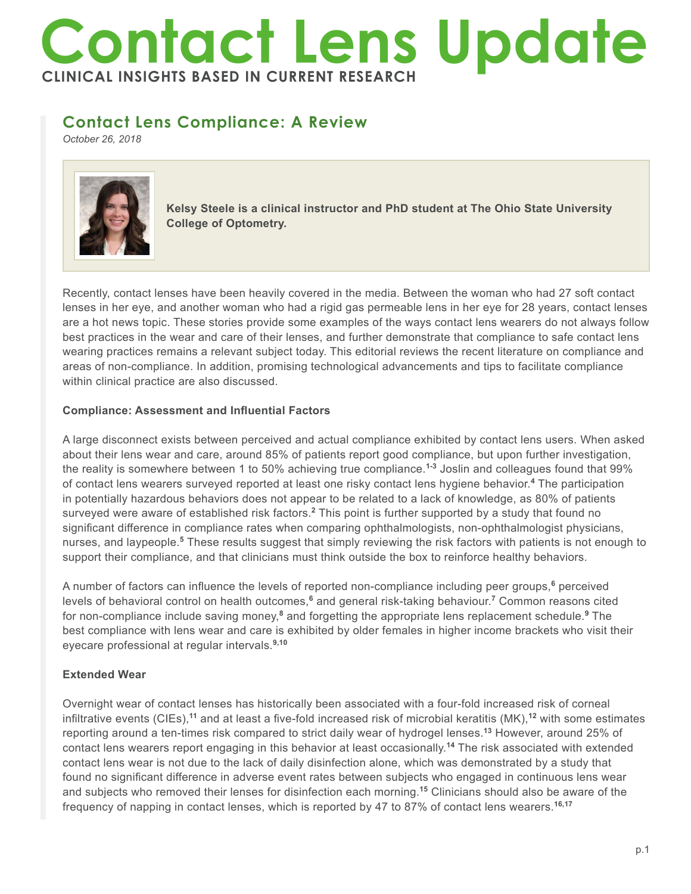# **Contact Lens Update CLINICAL INSIGHTS BASED IN CURRENT RESEARCH**

# **Contact Lens Compliance: A Review**

*October 26, 2018*



**Kelsy Steele is a clinical instructor and PhD student at The Ohio State University College of Optometry.**

Recently, contact lenses have been heavily covered in the media. Between the woman who had 27 soft contact lenses in her eye, and another woman who had a rigid gas permeable lens in her eye for 28 years, contact lenses are a hot news topic. These stories provide some examples of the ways contact lens wearers do not always follow best practices in the wear and care of their lenses, and further demonstrate that compliance to safe contact lens wearing practices remains a relevant subject today. This editorial reviews the recent literature on compliance and areas of non-compliance. In addition, promising technological advancements and tips to facilitate compliance within clinical practice are also discussed.

# **Compliance: Assessment and Influential Factors**

A large disconnect exists between perceived and actual compliance exhibited by contact lens users. When asked about their lens wear and care, around 85% of patients report good compliance, but upon further investigation, the reality is somewhere between 1 to 50% achieving true compliance.**1-3** Joslin and colleagues found that 99% of contact lens wearers surveyed reported at least one risky contact lens hygiene behavior.**<sup>4</sup>** The participation in potentially hazardous behaviors does not appear to be related to a lack of knowledge, as 80% of patients surveyed were aware of established risk factors.<sup>2</sup> This point is further supported by a study that found no significant difference in compliance rates when comparing ophthalmologists, non-ophthalmologist physicians, nurses, and laypeople.<sup>5</sup> These results suggest that simply reviewing the risk factors with patients is not enough to support their compliance, and that clinicians must think outside the box to reinforce healthy behaviors.

A number of factors can influence the levels of reported non-compliance including peer groups,<sup>6</sup> perceived levels of behavioral control on health outcomes,<sup>6</sup> and general risk-taking behaviour.<sup>7</sup> Common reasons cited for non-compliance include saving money,**<sup>8</sup>** and forgetting the appropriate lens replacement schedule.**<sup>9</sup>** The best compliance with lens wear and care is exhibited by older females in higher income brackets who visit their eyecare professional at regular intervals.**9,10**

# **Extended Wear**

Overnight wear of contact lenses has historically been associated with a four-fold increased risk of corneal infiltrative events (CIEs),**<sup>11</sup>** and at least a five-fold increased risk of microbial keratitis (MK),**<sup>12</sup>** with some estimates reporting around a ten-times risk compared to strict daily wear of hydrogel lenses.**<sup>13</sup>** However, around 25% of contact lens wearers report engaging in this behavior at least occasionally.**<sup>14</sup>** The risk associated with extended contact lens wear is not due to the lack of daily disinfection alone, which was demonstrated by a study that found no significant difference in adverse event rates between subjects who engaged in continuous lens wear and subjects who removed their lenses for disinfection each morning.**<sup>15</sup>** Clinicians should also be aware of the frequency of napping in contact lenses, which is reported by 47 to 87% of contact lens wearers.**16,17**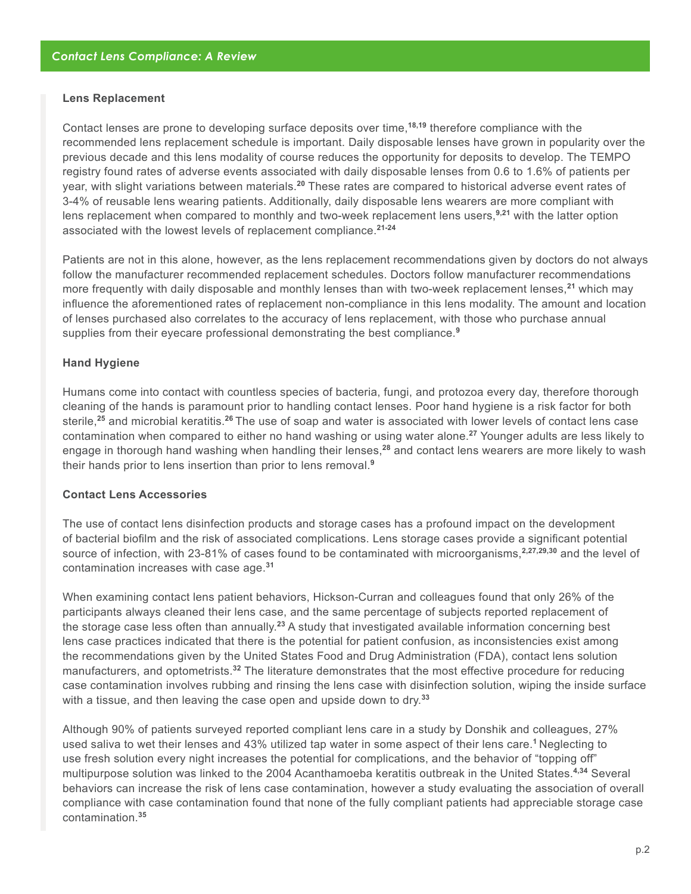#### **Lens Replacement**

Contact lenses are prone to developing surface deposits over time,**18,19** therefore compliance with the recommended lens replacement schedule is important. Daily disposable lenses have grown in popularity over the previous decade and this lens modality of course reduces the opportunity for deposits to develop. The TEMPO registry found rates of adverse events associated with daily disposable lenses from 0.6 to 1.6% of patients per year, with slight variations between materials.**<sup>20</sup>** These rates are compared to historical adverse event rates of 3-4% of reusable lens wearing patients. Additionally, daily disposable lens wearers are more compliant with lens replacement when compared to monthly and two-week replacement lens users,**9,21** with the latter option associated with the lowest levels of replacement compliance.**21-24**

Patients are not in this alone, however, as the lens replacement recommendations given by doctors do not always follow the manufacturer recommended replacement schedules. Doctors follow manufacturer recommendations more frequently with daily disposable and monthly lenses than with two-week replacement lenses,**<sup>21</sup>** which may influence the aforementioned rates of replacement non-compliance in this lens modality. The amount and location of lenses purchased also correlates to the accuracy of lens replacement, with those who purchase annual supplies from their eyecare professional demonstrating the best compliance.**<sup>9</sup>**

#### **Hand Hygiene**

Humans come into contact with countless species of bacteria, fungi, and protozoa every day, therefore thorough cleaning of the hands is paramount prior to handling contact lenses. Poor hand hygiene is a risk factor for both sterile,**<sup>25</sup>** and microbial keratitis.**<sup>26</sup>**The use of soap and water is associated with lower levels of contact lens case contamination when compared to either no hand washing or using water alone.**<sup>27</sup>** Younger adults are less likely to engage in thorough hand washing when handling their lenses,**<sup>28</sup>** and contact lens wearers are more likely to wash their hands prior to lens insertion than prior to lens removal.**<sup>9</sup>**

#### **Contact Lens Accessories**

The use of contact lens disinfection products and storage cases has a profound impact on the development of bacterial biofilm and the risk of associated complications. Lens storage cases provide a significant potential source of infection, with 23-81% of cases found to be contaminated with microorganisms,**2,27,29,30** and the level of contamination increases with case age.**<sup>31</sup>**

When examining contact lens patient behaviors, Hickson-Curran and colleagues found that only 26% of the participants always cleaned their lens case, and the same percentage of subjects reported replacement of the storage case less often than annually.**<sup>23</sup>** A study that investigated available information concerning best lens case practices indicated that there is the potential for patient confusion, as inconsistencies exist among the recommendations given by the United States Food and Drug Administration (FDA), contact lens solution manufacturers, and optometrists.**<sup>32</sup>** The literature demonstrates that the most effective procedure for reducing case contamination involves rubbing and rinsing the lens case with disinfection solution, wiping the inside surface with a tissue, and then leaving the case open and upside down to dry.**<sup>33</sup>**

Although 90% of patients surveyed reported compliant lens care in a study by Donshik and colleagues, 27% used saliva to wet their lenses and 43% utilized tap water in some aspect of their lens care.**<sup>1</sup>**Neglecting to use fresh solution every night increases the potential for complications, and the behavior of "topping off" multipurpose solution was linked to the 2004 Acanthamoeba keratitis outbreak in the United States.**4,34** Several behaviors can increase the risk of lens case contamination, however a study evaluating the association of overall compliance with case contamination found that none of the fully compliant patients had appreciable storage case contamination.**35**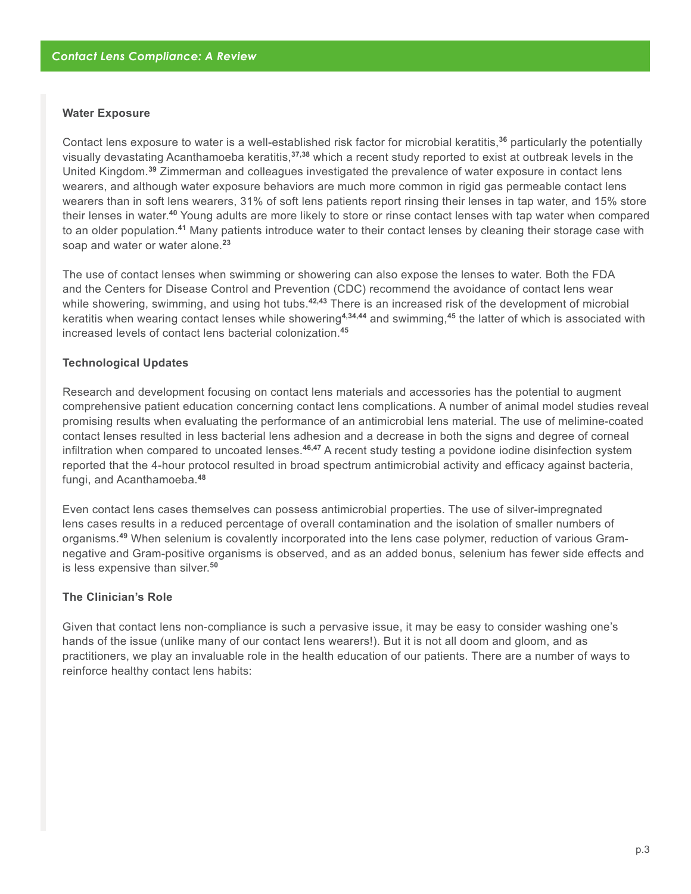#### **Water Exposure**

Contact lens exposure to water is a well-established risk factor for microbial keratitis,**<sup>36</sup>** particularly the potentially visually devastating Acanthamoeba keratitis,**37,38** which a recent study reported to exist at outbreak levels in the United Kingdom.**<sup>39</sup>** Zimmerman and colleagues investigated the prevalence of water exposure in contact lens wearers, and although water exposure behaviors are much more common in rigid gas permeable contact lens wearers than in soft lens wearers, 31% of soft lens patients report rinsing their lenses in tap water, and 15% store their lenses in water.**<sup>40</sup>** Young adults are more likely to store or rinse contact lenses with tap water when compared to an older population.**<sup>41</sup>** Many patients introduce water to their contact lenses by cleaning their storage case with soap and water or water alone.**<sup>23</sup>**

The use of contact lenses when swimming or showering can also expose the lenses to water. Both the FDA and the Centers for Disease Control and Prevention (CDC) recommend the avoidance of contact lens wear while showering, swimming, and using hot tubs.<sup>42,43</sup> There is an increased risk of the development of microbial keratitis when wearing contact lenses while showering**4,34,44** and swimming,**<sup>45</sup>** the latter of which is associated with increased levels of contact lens bacterial colonization.**<sup>45</sup>**

#### **Technological Updates**

Research and development focusing on contact lens materials and accessories has the potential to augment comprehensive patient education concerning contact lens complications. A number of animal model studies reveal promising results when evaluating the performance of an antimicrobial lens material. The use of melimine-coated contact lenses resulted in less bacterial lens adhesion and a decrease in both the signs and degree of corneal infiltration when compared to uncoated lenses.**46,47** A recent study testing a povidone iodine disinfection system reported that the 4-hour protocol resulted in broad spectrum antimicrobial activity and efficacy against bacteria, fungi, and Acanthamoeba.**<sup>48</sup>**

Even contact lens cases themselves can possess antimicrobial properties. The use of silver-impregnated lens cases results in a reduced percentage of overall contamination and the isolation of smaller numbers of organisms.**49** When selenium is covalently incorporated into the lens case polymer, reduction of various Gramnegative and Gram-positive organisms is observed, and as an added bonus, selenium has fewer side effects and is less expensive than silver.**<sup>50</sup>**

# **The Clinician's Role**

Given that contact lens non-compliance is such a pervasive issue, it may be easy to consider washing one's hands of the issue (unlike many of our contact lens wearers!). But it is not all doom and gloom, and as practitioners, we play an invaluable role in the health education of our patients. There are a number of ways to reinforce healthy contact lens habits: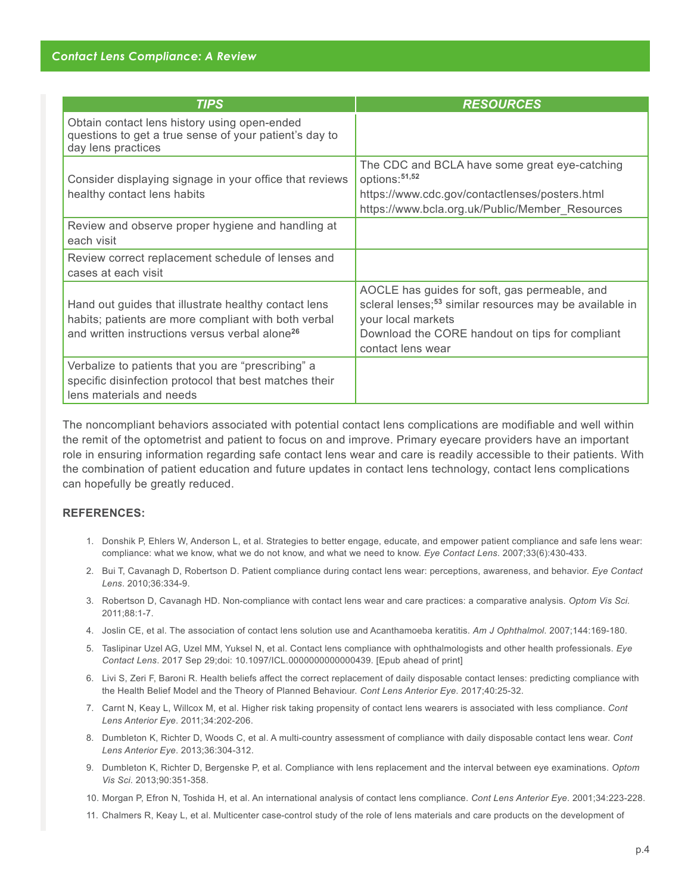| <b>TIPS</b>                                                                                                                                                                | <b>RESOURCES</b>                                                                                                                                                                                                   |
|----------------------------------------------------------------------------------------------------------------------------------------------------------------------------|--------------------------------------------------------------------------------------------------------------------------------------------------------------------------------------------------------------------|
| Obtain contact lens history using open-ended<br>questions to get a true sense of your patient's day to<br>day lens practices                                               |                                                                                                                                                                                                                    |
| Consider displaying signage in your office that reviews<br>healthy contact lens habits                                                                                     | The CDC and BCLA have some great eye-catching<br>options: <sup>51,52</sup><br>https://www.cdc.gov/contactlenses/posters.html<br>https://www.bcla.org.uk/Public/Member Resources                                    |
| Review and observe proper hygiene and handling at<br>each visit                                                                                                            |                                                                                                                                                                                                                    |
| Review correct replacement schedule of lenses and<br>cases at each visit                                                                                                   |                                                                                                                                                                                                                    |
| Hand out guides that illustrate healthy contact lens<br>habits; patients are more compliant with both verbal<br>and written instructions versus verbal alone <sup>26</sup> | AOCLE has guides for soft, gas permeable, and<br>scleral lenses; <sup>53</sup> similar resources may be available in<br>your local markets<br>Download the CORE handout on tips for compliant<br>contact lens wear |
| Verbalize to patients that you are "prescribing" a<br>specific disinfection protocol that best matches their<br>lens materials and needs                                   |                                                                                                                                                                                                                    |

The noncompliant behaviors associated with potential contact lens complications are modifiable and well within the remit of the optometrist and patient to focus on and improve. Primary eyecare providers have an important role in ensuring information regarding safe contact lens wear and care is readily accessible to their patients. With the combination of patient education and future updates in contact lens technology, contact lens complications can hopefully be greatly reduced.

# **REFERENCES:**

- 1. Donshik P, Ehlers W, Anderson L, et al. Strategies to better engage, educate, and empower patient compliance and safe lens wear: compliance: what we know, what we do not know, and what we need to know. *Eye Contact Lens*. 2007;33(6):430-433.
- 2. Bui T, Cavanagh D, Robertson D. Patient compliance during contact lens wear: perceptions, awareness, and behavior. *Eye Contact Lens*. 2010;36:334-9.
- 3. Robertson D, Cavanagh HD. Non-compliance with contact lens wear and care practices: a comparative analysis. *Optom Vis Sci.* 2011;88:1-7.
- 4. Joslin CE, et al. The association of contact lens solution use and Acanthamoeba keratitis. *Am J Ophthalmol*. 2007;144:169-180.
- 5. Taslipinar Uzel AG, Uzel MM, Yuksel N, et al. Contact lens compliance with ophthalmologists and other health professionals. *Eye Contact Lens*. 2017 Sep 29;doi: 10.1097/ICL.0000000000000439. [Epub ahead of print]
- 6. Livi S, Zeri F, Baroni R. Health beliefs affect the correct replacement of daily disposable contact lenses: predicting compliance with the Health Belief Model and the Theory of Planned Behaviour. *Cont Lens Anterior Eye*. 2017;40:25-32.
- 7. Carnt N, Keay L, Willcox M, et al. Higher risk taking propensity of contact lens wearers is associated with less compliance. *Cont Lens Anterior Eye*. 2011;34:202-206.
- 8. Dumbleton K, Richter D, Woods C, et al. A multi-country assessment of compliance with daily disposable contact lens wear. *Cont Lens Anterior Eye*. 2013;36:304-312.
- 9. Dumbleton K, Richter D, Bergenske P, et al. Compliance with lens replacement and the interval between eye examinations. *Optom Vis Sci*. 2013;90:351-358.
- 10. Morgan P, Efron N, Toshida H, et al. An international analysis of contact lens compliance. *Cont Lens Anterior Eye*. 2001;34:223-228.
- 11. Chalmers R, Keay L, et al. Multicenter case-control study of the role of lens materials and care products on the development of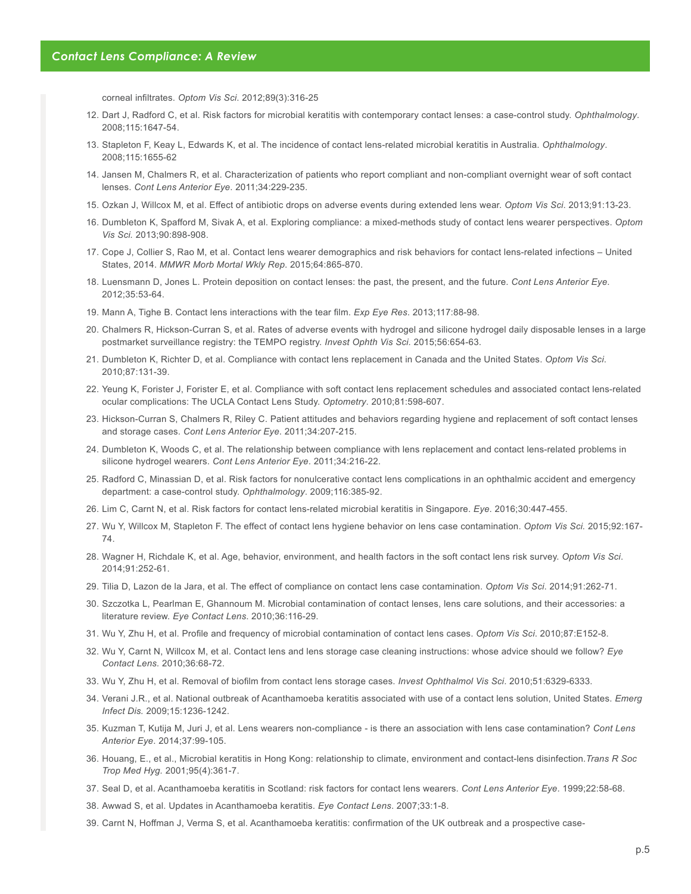corneal infiltrates. *Optom Vis Sci*. 2012;89(3):316-25

- 12. Dart J, Radford C, et al. Risk factors for microbial keratitis with contemporary contact lenses: a case-control study. *Ophthalmology*. 2008;115:1647-54.
- 13. Stapleton F, Keay L, Edwards K, et al. The incidence of contact lens-related microbial keratitis in Australia. *Ophthalmology*. 2008;115:1655-62
- 14. Jansen M, Chalmers R, et al. Characterization of patients who report compliant and non-compliant overnight wear of soft contact lenses. *Cont Lens Anterior Eye*. 2011;34:229-235.
- 15. Ozkan J, Willcox M, et al. Effect of antibiotic drops on adverse events during extended lens wear. *Optom Vis Sci*. 2013;91:13-23.
- 16. Dumbleton K, Spafford M, Sivak A, et al. Exploring compliance: a mixed-methods study of contact lens wearer perspectives. *Optom Vis Sci.* 2013;90:898-908.
- 17. Cope J, Collier S, Rao M, et al. Contact lens wearer demographics and risk behaviors for contact lens-related infections United States, 2014. *MMWR Morb Mortal Wkly Rep*. 2015;64:865-870.
- 18. Luensmann D, Jones L. Protein deposition on contact lenses: the past, the present, and the future. *Cont Lens Anterior Eye*. 2012;35:53-64.
- 19. Mann A, Tighe B. Contact lens interactions with the tear film. *Exp Eye Res*. 2013;117:88-98.
- 20. Chalmers R, Hickson-Curran S, et al. Rates of adverse events with hydrogel and silicone hydrogel daily disposable lenses in a large postmarket surveillance registry: the TEMPO registry. *Invest Ophth Vis Sci.* 2015;56:654-63.
- 21. Dumbleton K, Richter D, et al. Compliance with contact lens replacement in Canada and the United States. *Optom Vis Sci*. 2010;87:131-39.
- 22. Yeung K, Forister J, Forister E, et al. Compliance with soft contact lens replacement schedules and associated contact lens-related ocular complications: The UCLA Contact Lens Study. *Optometry*. 2010;81:598-607.
- 23. Hickson-Curran S, Chalmers R, Riley C. Patient attitudes and behaviors regarding hygiene and replacement of soft contact lenses and storage cases. *Cont Lens Anterior Eye*. 2011;34:207-215.
- 24. Dumbleton K, Woods C, et al. The relationship between compliance with lens replacement and contact lens-related problems in silicone hydrogel wearers. *Cont Lens Anterior Eye*. 2011;34:216-22.
- 25. Radford C, Minassian D, et al. Risk factors for nonulcerative contact lens complications in an ophthalmic accident and emergency department: a case-control study. *Ophthalmology*. 2009;116:385-92.
- 26. Lim C, Carnt N, et al. Risk factors for contact lens-related microbial keratitis in Singapore. *Eye*. 2016;30:447-455.
- 27. Wu Y, Willcox M, Stapleton F. The effect of contact lens hygiene behavior on lens case contamination. *Optom Vis Sci.* 2015;92:167- 74.
- 28. Wagner H, Richdale K, et al. Age, behavior, environment, and health factors in the soft contact lens risk survey. *Optom Vis Sci*. 2014;91:252-61.
- 29. Tilia D, Lazon de la Jara, et al. The effect of compliance on contact lens case contamination. *Optom Vis Sci*. 2014;91:262-71.
- 30. Szczotka L, Pearlman E, Ghannoum M. Microbial contamination of contact lenses, lens care solutions, and their accessories: a literature review. *Eye Contact Lens*. 2010;36:116-29.
- 31. Wu Y, Zhu H, et al. Profile and frequency of microbial contamination of contact lens cases. *Optom Vis Sci*. 2010;87:E152-8.
- 32. Wu Y, Carnt N, Willcox M, et al. Contact lens and lens storage case cleaning instructions: whose advice should we follow? *Eye Contact Lens.* 2010;36:68-72.
- 33. Wu Y, Zhu H, et al. Removal of biofilm from contact lens storage cases. *Invest Ophthalmol Vis Sci*. 2010;51:6329-6333.
- 34. Verani J.R., et al. National outbreak of Acanthamoeba keratitis associated with use of a contact lens solution, United States. *Emerg Infect Dis.* 2009;15:1236-1242.
- 35. Kuzman T, Kutija M, Juri J, et al. Lens wearers non-compliance is there an association with lens case contamination? *Cont Lens Anterior Eye*. 2014;37:99-105.
- 36. Houang, E., et al., Microbial keratitis in Hong Kong: relationship to climate, environment and contact-lens disinfection.*Trans R Soc Trop Med Hyg.* 2001;95(4):361-7.
- 37. Seal D, et al. Acanthamoeba keratitis in Scotland: risk factors for contact lens wearers. *Cont Lens Anterior Eye*. 1999;22:58-68.
- 38. Awwad S, et al. Updates in Acanthamoeba keratitis. *Eye Contact Lens*. 2007;33:1-8.
- 39. Carnt N, Hoffman J, Verma S, et al. Acanthamoeba keratitis: confirmation of the UK outbreak and a prospective case-